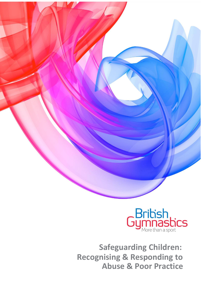

**Safeguarding Children: Recognising & Responding to Abuse & Poor Practice**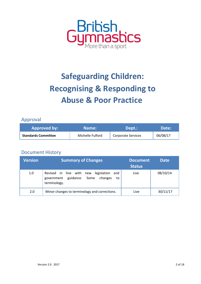

# **Safeguarding Children: Recognising & Responding to Abuse & Poor Practice**

### Approval

| <b>Approved by:</b>        | Name:            | Dept.:                    | Date:    |
|----------------------------|------------------|---------------------------|----------|
| <b>Standards Committee</b> | Michelle Fulford | <b>Corporate Services</b> | 06/08/17 |

#### Document History

| <b>Version</b> | <b>Summary of Changes</b>                                                                                 | <b>Document</b><br><b>Status</b> | <b>Date</b> |
|----------------|-----------------------------------------------------------------------------------------------------------|----------------------------------|-------------|
| 1.0            | Revised in line with new legislation<br>and<br>guidance. Some changes<br>government<br>to<br>terminology. | Live                             | 08/10/14    |
| 2.0            | Minor changes to terminology and corrections.                                                             | Live                             | 30/11/17    |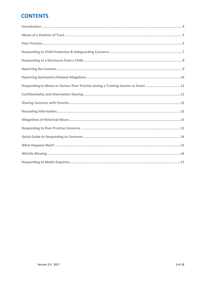# **CONTENTS**

| Responding to Abuse or Serious Poor Practice during a Training Session or Event 11 |
|------------------------------------------------------------------------------------|
|                                                                                    |
|                                                                                    |
|                                                                                    |
|                                                                                    |
|                                                                                    |
|                                                                                    |
|                                                                                    |
|                                                                                    |
|                                                                                    |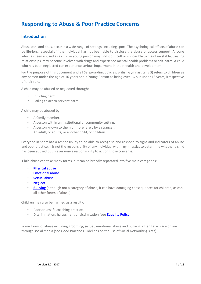# **Responding to Abuse & Poor Practice Concerns**

#### <span id="page-3-0"></span>**Introduction**

Abuse can, and does, occur in a wide range of settings, including sport. The psychological effects of abuse can be life-long, especially if the individual has not been able to disclose the abuse or access support. Anyone who has been abused as a child or young person may find it difficult or impossible to maintain stable, trusting relationships, may become involved with drugs and experience mental health problems or self-harm. A child who has been neglected can experience serious impairment in their health and development.

For the purpose of this document and all Safeguarding policies, British Gymnastics (BG) refers to children as any person under the age of 16 years and a Young Person as being over 16 but under 18 years, irrespective of their role.

A child may be abused or neglected through:

- Inflicting harm.
- Failing to act to prevent harm.

A child may be abused by:

- A family member.
- A person within an institutional or community setting.
- A person known to them or more rarely by a stranger.
- An adult, or adults, or another child, or children.

Everyone in sport has a responsibility to be able to recognise and respond to signs and indicators of abuse and poor practice. It is not the responsibility of any individual within gymnastics to determine whether a child has been abused but is everyone's responsibility to act on those concerns.

Child abuse can take many forms, but can be broadly separated into five main categories:

- **[Physical abuse](http://www.british-gymnastics.org/coaching/coach-membership/document-downloads/doc_download/5718-safeguarding-glossary-of-terms)**
- **[Emotional abuse](http://www.british-gymnastics.org/coaching/coach-membership/document-downloads/doc_download/5718-safeguarding-glossary-of-terms)**
- **[Sexual abuse](http://www.british-gymnastics.org/coaching/coach-membership/document-downloads/doc_download/5718-safeguarding-glossary-of-terms)**
- **[Neglect](http://www.british-gymnastics.org/coaching/coach-membership/document-downloads/doc_download/5718-safeguarding-glossary-of-terms)**
- **[Bullying](http://www.british-gymnastics.org/coaching/coach-membership/document-downloads/doc_download/5718-safeguarding-glossary-of-terms)** (although not a category of abuse, it can have damaging consequences for children, as can all other forms of abuse).

Children may also be harmed as a result of:

- Poor or unsafe coaching practice.
- <span id="page-3-1"></span>• Discrimination, harassment or victimisation (s[ee](http://www.british-gymnastics.org/documents/doc_download/2847-equality-policy) **[Equality Policy](https://www.british-gymnastics.org/gymnasts/gymnast-membership/document-downloads/safeguarding-compliance/8154-bg-equality-policy-final/file)**[\).](http://www.british-gymnastics.org/documents/doc_download/2847-equality-policy)

Some forms of abuse including grooming, sexual, emotional abuse and bullying, often take place online through social media (see Good Practice Guidelines on the use of Social Networking sites).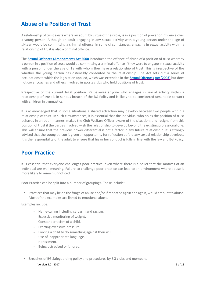# **Abuse of a Position of Trust**

A relationship of trust exists where an adult, by virtue of their role, is in a position of power or influence over a young person. Although an adult engaging in any sexual activity with a young person under the age of sixteen would be committing a criminal offence, in some circumstances, engaging in sexual activity within a relationship of trust is also a criminal offence.

The **[Sexual Offences \(Amendment\) Act 2000](http://www.legislation.gov.uk/ukpga/2000/44/contents)** [in](http://www.legislation.gov.uk/ukpga/2000/44/contents)troduced the offence of abuse of a position of trust whereby a person in a position of trust would be committing a criminal offence if they were to engage in sexual activity with a person under the age of 18 with whom they have a relationship of trust. This is irrespective of the whether the young person has ostensibly consented to the relationship. The Act sets out a series of occupations to which the legislation applied, which was extended in the **[Sexual Offences](http://www.legislation.gov.uk/ukpga/2003/42/contents) [Act \(2003\)](http://www.legislation.gov.uk/ukpga/2003/42/contents)** but does not cover coaches and others involved in sports clubs who hold positions of trust.

Irrespective of the current legal position BG believes anyone who engages in sexual activity within a relationship of trust is in serious breach of the BG Policy and is likely to be considered unsuitable to work with children in gymnastics.

It is acknowledged that in some situations a shared attraction may develop between two people within a relationship of trust. In such circumstances, it is essential that the individual who holds the position of trust behaves in an open manner, makes the Club Welfare Officer aware of the situation, and resigns from this position of trust if the parties involved wish the relationship to develop beyond the existing professional one. This will ensure that the previous power differential is not a factor in any future relationship. It is strongly advised that the young person is given an opportunity for reflection before any sexual relationship develops. It is the responsibility of the adult to ensure that his or her conduct is fully in line with the law and BG Policy.

## <span id="page-4-0"></span>**Poor Practice**

It is essential that everyone challenges poor practice, even where there is a belief that the motives of an individual are well meaning. Failure to challenge poor practice can lead to an environment where abuse is more likely to remain unnoticed.

Poor Practice can be split into a number of groupings. These include: -

• Practices that may be on the fringe of abuse and/or if repeated again and again, would amount to abuse. Most of the examples are linked to emotional abuse.

Examples include:

- Name-calling including sarcasm and racism.
- Excessive monitoring of weight.
- Constant criticism of a child.
- Exerting excessive pressure.
- Forcing a child to do something against their will.
- Use of inappropriate language.
- Harassment.
- Being ostracised or ignored.
- Breaches of BG Safeguarding policy and procedures by BG clubs and members.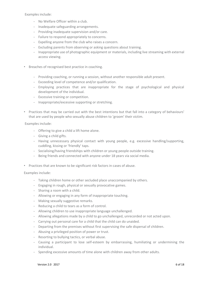Examples include:

- No Welfare Officer within a club.
- Inadequate safeguarding arrangements.
- Providing inadequate supervision and/or care.
- Failure to respond appropriately to concerns.
- Expelling anyone from the club who raises a concern.
- Excluding parents from observing or asking questions about training.
- Inappropriate use of photographic equipment or materials, including live streaming with external access viewing.
- Breaches of recognised best practice in coaching.
	- Providing coaching, or running a session, without another responsible adult present.
	- Exceeding level of competence and/or qualification.
	- Employing practices that are inappropriate for the stage of psychological and physical development of the individual.
	- Excessive training or competition.
	- Inappropriate/excessive supporting or stretching.
- Practices that may be carried out with the best intentions but that fall into a category of behaviours' that are used by people who sexually abuse children to 'groom' their victim.

Examples include:

- Offering to give a child a lift home alone.
- Giving a child gifts.
- Having unnecessary physical contact with young people, e.g. excessive handling/supporting, cuddling, kissing or 'friendly' taps.
- Socialising/having friendships with children or young people outside training.
- Being friends and connected with anyone under 18 years via social media.
- Practices that are known to be significant risk factors in cases of abuse.

Examples include:

- Taking children home or other secluded place unaccompanied by others.
- Engaging in rough, physical or sexually provocative games.
- Sharing a room with a child.
- Allowing or engaging in any form of inappropriate touching.
- Making sexually suggestive remarks.
- Reducing a child to tears as a form of control.
- Allowing children to use inappropriate language unchallenged.
- Allowing allegations made by a child to go unchallenged, unrecorded or not acted upon.
- Carrying out personal care for a child that the child can do unaided.
- Departing from the premises without first supervising the safe dispersal of children.
- Abusing a privileged position of power or trust.
- Resorting to bullying tactics, or verbal abuse.
- Causing a participant to lose self-esteem by embarrassing, humiliating or undermining the individual.
- Spending excessive amounts of time alone with children away from other adults.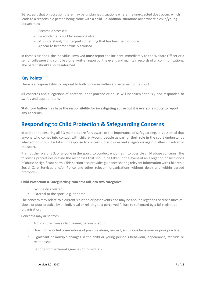BG accepts that on occasion there may be unplanned situations where the unexpected does occur, which leads to a responsible person being alone with a child. In addition, situations arise where a child/young person may:

- Become distressed.
- Be accidentally hurt by someone else.
- Misunderstand/misinterpret something that has been said or done.
- Appear to become sexually aroused.

In these situations, the individual involved **must** report the incident immediately to the Welfare Officer or a senior colleague and compile a brief written report of the event and maintain records of all communications. The parent should also be informed.

#### **Key Points**

There is a responsibility to respond to both concerns within and external to the sport.

All concerns and allegations of potential poor practice or abuse will be taken seriously and responded to swiftly and appropriately.

**Statutory Authorities have the responsibility for investigating abuse but it is everyone's duty to report any concerns.** 

## <span id="page-6-0"></span>**Responding to Child Protection & Safeguarding Concerns**

In addition to ensuring all BG members are fully aware of the importance of Safeguarding, it is essential that anyone who comes into contact with children/young people as part of their role in the sport understands what action should be taken in response to concerns, disclosures and allegations against others involved in the sport.

It is not the role of BG, or anyone in the sport, to conduct enquiries into possible child abuse concerns. The following procedures outline the responses that should be taken in the event of an allegation or suspicions of abuse or significant harm. (This section also provides guidance sharing relevant information with Children's Social Care Services and/or Police and other relevant organisations without delay and within agreed protocols).

#### **Child Protection & Safeguarding concerns fall into two categories**:

- Gymnastics related.
- External to the sport, e.g. at home.

The concern may relate to a current situation or past events and may be about allegations or disclosures of abuse or poor practice by an individual or relating to a perceived failure to safeguard by a BG registered organisation.

Concerns may arise from:

- A disclosure from a child, young person or adult.
- Direct or reported observations of possible abuse, neglect, suspicious behaviour or poor practice.
- Significant or multiple changes in the child or young person's behaviour, appearance, attitude or relationship.
- Reports from external agencies or individuals.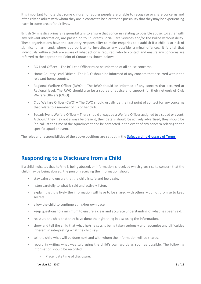It is important to note that some children or young people are unable to recognise or share concerns and often rely on adults with whom they are in contact to be alert to the possibility that they may be experiencing harm in some area of their lives.

British Gymnastics primary responsibility is to ensure that concerns relating to possible abuse, together with any relevant information, are passed on to Children's Social Care Services and/or the Police without delay. These organisations have the statutory responsibility to make enquiries to establish if a child is at risk of significant harm and, where appropriate, to investigate any possible criminal offences. It is vital that individuals within a club are aware of what action is required, who to contact and ensure any concerns are referred to the appropriate Point of Contact as shown below: -

- BG Lead Officer The BG Lead Officer must be informed of **all** abuse concerns.
- Home Country Lead Officer The HCLO should be informed of any concern that occurred within the relevant home country.
- Regional Welfare Officer (RWO) The RWO should be informed of any concern that occurred at Regional level. The RWO should also be a source of advice and support for their network of Club Welfare Officers (CWO).
- Club Welfare Officer (CWO) The CWO should usually be the first point of contact for any concerns that relate to a member of his or her club.
- Squad/Event Welfare Officer There should always be a Welfare Officer assigned to a squad or event. Although they may not always be present, their details should be actively advertised, they should be 'on-call' at the time of the squad/event and be contacted in the event of any concern relating to the specific squad or event.

The roles and responsibilities of the above positions are set out in the **[Safeguarding Glossary of Terms](http://www.british-gymnastics.org/coaching/coach-membership/document-downloads/doc_download/5718-safeguarding-glossary-of-terms)** 

# <span id="page-7-0"></span>**Responding to a Disclosure from a Child**

If a child indicates that he/she is being abused, or information is received which gives rise to concern that the child may be being abused, the person receiving the information should:

- stay calm and ensure that the child is safe and feels safe.
- listen carefully to what is said and actively listen.
- explain that it is likely the information will have to be shared with others do not promise to keep secrets.
- allow the child to continue at his/her own pace.
- keep questions to a minimum to ensure a clear and accurate understanding of what has been said.
- reassure the child that they have done the right thing in disclosing the information.
- show and tell the child that what he/she says is being taken seriously and recognise any difficulties inherent in interpreting what the child says.
- tell the child what will be done next and with whom the information will be shared.
- record in writing what was said using the child's own words as soon as possible. The following information should be recorded:
	- Place, date time of disclosure.

 $V$ ersion 2.0 2017 8 of 18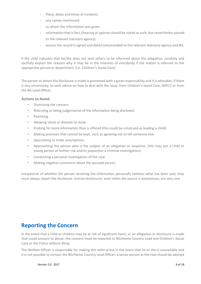- Place, dates and times of incidents.
- any names mentioned.
- to whom the information was given.
- information that is fact, (hearsay or opinion should be noted as such, but nevertheless passed to the relevant statutory agency).
- ensure the record is signed and dated and provided to the relevant statutory agency and BG.

If the child indicates that he/she does not wish others to be informed about the allegation, carefully and tactfully explain the reasons why it may be in the interests of everybody if the matter is referred to the appropriate person or department, (i.e. Children's Social Care).

The person to whom the disclosure is made is presented with a great responsibility and it is advisable, if there is any uncertainty, to seek advice on how to deal with the issue, from Children's Social Care, NSPCC or from the BG Lead Officer.

#### **Actions to Avoid:**

- Dismissing the concern.
- Ridiculing or being judgemental of the information being disclosed.
- Panicking.
- Allowing shock or distaste to show.
- Probing for more information than is offered (this could be construed as leading a child).
- Making promises that cannot be kept, such as agreeing not to tell someone else.
- Speculating or make assumptions.
- Approaching the person who is the subject of an allegation or suspicion, (this may put a child or young person at further risk and/or jeopardise a criminal investigation).
- Conducting a personal investigation of the case.
- Making negative comments about the accused person.

Irrespective of whether the person receiving the information personally believes what has been said, they must always report the disclosure. Untrue disclosures, even when the source is anonymous, are very rare.

## <span id="page-8-0"></span>**Reporting the Concern**

In the event that a child or children may be at risk of significant harm, or an allegation or disclosure is made that could amount to abuse, the concern must be reported to BG/Home Country Lead and Children's Social Care or the Police without delay.

The Welfare Officer is responsible for making this referral but in the event that he or she is unavailable and it is not possible to contact the BG/Home Country Lead Officer, a senior person at the club should be advised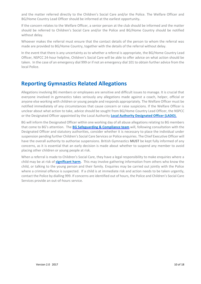and the matter referred directly to the Children's Social Care and/or the Police. The Welfare Officer and BG/Home Country Lead Officer should be informed at the earliest opportunity**.** 

If the concern relates to the Welfare Officer, a senior person at the club should be informed and the matter should be referred to Children's Social Care and/or the Police and BG/Home Country should be notified without delay.

Whoever makes the referral must ensure that the contact details of the person to whom the referral was made are provided to BG/Home Country, together with the details of the referral without delay.

In the event that there is any uncertainty as to whether a referral is appropriate, the BG/Home Country Lead Officer, NSPCC 24-hour helpline, Children's Social Care will be able to offer advice on what action should be taken. In the case of an emergency dial 999 or if not an emergency dial 101 to obtain further advice from the local Police.

## <span id="page-9-0"></span>**Reporting Gymnastics Related Allegations**

Allegations involving BG members or employees are sensitive and difficult issues to manage. It is crucial that everyone involved in gymnastics takes seriously any allegations made against a coach, helper, official or anyone else working with children or young people and responds appropriately. The Welfare Officer must be notified immediately of any circumstances that cause concern or raise suspicions. If the Welfare Officer is unclear about what action to take, advice should be sought from BG/Home Country Lead Officer, the NSPCC or the Designated Officer appointed by the Local Authorit[y](http://www.british-gymnastics.org/coaching/coach-membership/document-downloads/doc_download/5718-safeguarding-glossary-of-terms) **[Local Authority Designated Officer \(LADO\).](http://www.british-gymnastics.org/coaching/coach-membership/document-downloads/doc_download/5718-safeguarding-glossary-of-terms)**

BG will inform the Designated Officer within one working day of all abuse allegations relating to BG members that come to BG's attention. The **[BG Safeguarding & Compliance team](http://www.british-gymnastics.org/coaching/coach-membership/document-downloads/doc_download/5718-safeguarding-glossary-of-terms)** [w](http://www.british-gymnastics.org/documents/doc_download/3275-complaints-and-disciplinary-procedures)ill, following consultation with the Designated Officer and statutory authorities, consider whether it is necessary to place the individual under suspension pending further Children's Social Care Services or Police enquiries. The Chief Executive Officer will have the overall authority to authorise suspensions. British Gymnastics **MUST** be kept fully informed of any concerns, as it is essential that an early decision is made about whether to suspend any member to avoid placing other children or young people at risk.

When a referral is made to Children's Social Care, they have a legal responsibility to make enquiries where a child may be at risk of **[significant harm.](http://www.british-gymnastics.org/coaching/coach-membership/document-downloads/doc_download/5718-safeguarding-glossary-of-terms)** This may involve gathering information from others who know the child, or talking to the young person and their family. Enquiries may be carried out jointly with the Police where a criminal offence is suspected. If a child is at immediate risk and action needs to be taken urgently, contact the Police by dialling 999. If concerns are identified out of hours, the Police and Children's Social Care Services provide an out-of-hours service.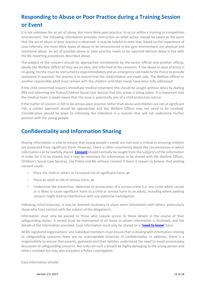# <span id="page-10-0"></span>**Responding to Abuse or Poor Practice during a Training Session or Event**

It is not unknown for an act of abuse, but more likely poor practice, to occur within a training or competition environment. The following information provides instruction on what action should be taken at the point that the act of abuse or poor practice is observed. It may be helpful to note that, based on the experience of case referrals, the most likely types of abuse to be encountered in the gym environment are physical and emotional abuse. An act of possible abuse or poor practice needs to be reported without delay in line with the BG reporting procedures described above.

The subject of the concern should be approached immediately by the senior official and another official, ideally the Welfare Officer (if they are on site), and informed of the concerns. If the abuse or poor practice is on-going, he/she must be instructed to stop immediately and an emergency call made to the Police to provide assistance if required. The priority is to ensure that the child/children are made safe. The Welfare Officer or another responsible adult must remain with the children until their needs have been fully addressed.

If the child concerned requires immediate medical treatment this should be sought without delay by dialling 999 and informing the Police/Children Social Care Service that this action is being taken. It is important that the medical team is made aware that the issue is potentially one of a child protection nature.

If the matter of concern is felt to be serious poor practice rather than abuse and children are not at significant risk, a subtler approach would be appropriate and the Welfare Officer may not need to be involved. Consideration should be given to informing the individual in a manner that will not undermine his/her position with the young people.

# <span id="page-10-1"></span>**Confidentiality and Information Sharing**

Sharing information is vital to ensure that young people's needs are met and is critical in ensuring children are protected from significant harm. However, there is often uncertainty about the circumstances in which information can be lawfully shared. **[Consent](http://www.british-gymnastics.org/coaching/coach-membership/document-downloads/doc_download/5718-safeguarding-glossary-of-terms)**[s](http://www.british-gymnastics.org/coaching/coach-membership/document-downloads/doc_download/5718-safeguarding-glossary-of-terms)hould normally be sought from the subject/s of the information in order for it to be shared, but it may be necessary for information to be shared with the Welfare Officer, Children's Social Care Services, the Police and BG without consent if there is reason to believe that seeking consent could:

- Place the child or others at increased risk of significant harm, **or**
- Place an adult at risk of serious harm, **or**
- Undermine the prevention, detection or prosecution of a serious crime (i.e. any crime which causes or is likely to cause significant harm to a child or serious harm to an adult), including where seeking consent might lead to interference with any potential investigation.

Following initial enquiries, it may be deemed necessary to share some information with others, particularly those who have contact with the subject of the allegation/s.

Information must only be passed to those who require access to these details in the course of their safeguarding duties. A record must be maintained of all those to whom information is disclosed, and the details of the information provided. Case information must only be shared on a **['need to know'](http://www.british-gymnastics.org/coaching/coach-membership/document-downloads/doc_download/5718-safeguarding-glossary-of-terms)** [b](http://www.british-gymnastics.org/coaching/coach-membership/document-downloads/doc_download/5718-safeguarding-glossary-of-terms)asis.

All BG registered organisations' and individual members must ensure that in dealing with information relating to safeguarding concerns there are no unacceptable breaches of confidentiality. In addition, there is a responsibility to ensure that parents, gymnasts and their families understand the need to avoid unnecessary discussion of safeguarding concerns. Not only can such a breach be highly damaging to the young person and others involved but may also prejudice a Police investigation.

Case information should: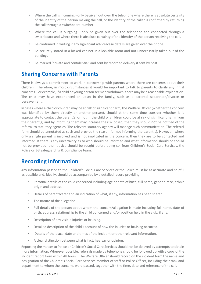- Where the call is incoming only be given out over the telephone where there is absolute certainty of the identity of the person making the call, or the identity of the caller is confirmed by returning the call through a switchboard number.
- Where the call is outgoing only be given out over the telephone and connected through a switchboard and where there is absolute certainty of the identity of the person receiving the call.
- Be confirmed in writing if any significant advice/case details are given over the phone.
- Be securely stored in a locked cabinet in a lockable room and not unnecessarily taken out of the building**.**
- Be marked 'private and confidential' and sent by recorded delivery if sent by post.

## <span id="page-11-0"></span>**Sharing Concerns with Parents**

There is always a commitment to work in partnership with parents where there are concerns about their children. Therefore, in most circumstances it would be important to talk to parents to clarify any initial concerns. For example, if a child or young person seemed withdrawn, there may be a reasonable explanation. The child may have experienced an upset in the family, such as a parental separation/divorce or bereavement.

In cases where a child or children may be at risk of significant harm, the Welfare Officer (whether the concern was identified by them directly or another person), should at the same time consider whether it is appropriate to contact the parent(s) or not. If the child or children could be at risk of significant harm from their parent(s) and by informing them may increase the risk posed, then they should **not** be notified of the referral to statutory agencies. The relevant statutory agency will manage such communication. The referral form should be annotated as such and provide the reason for not informing the parent(s). However, where only a single parent is involved and is not implicated in the concern, then they are to be contacted and informed. If there is any uncertainty as to who should be informed and what information should or should not be provided, then advice should be sought before doing so, from Children's Social Care Services, the Police or BG Safeguarding & Compliance team.

# <span id="page-11-1"></span>**Recording Information**

Any information passed to the Children's Social Care Services or the Police must be as accurate and helpful as possible and, ideally, should be accompanied by a detailed record providing:

- Personal details of the child concerned including age or date of birth, full name, gender, race, ethnic origin and address.
- Details of parent/carer and an indication of what, if any, information has been shared.
- The nature of the allegation.
- Full details of the person about whom the concern/allegation is made including full name, date of birth, address, relationship to the child concerned and/or position held in the club, if any.
- Description of any visible injuries or bruising.
- Detailed description of the child's account of how the injuries or bruising occurred.
- Details of the place, date and times of the incident or other relevant information.
- A clear distinction between what is fact, hearsay or opinion.

Reporting the matter to Police or Children's Social Care Services should not be delayed by attempts to obtain more information. Wherever possible, referrals made by telephone should be followed up with a copy of the incident report form within 48 hours. The Welfare Officer should record on the incident form the name and designation of the Children's Social Care Services member of staff or Police Officer, including their rank and department to whom the concerns were passed, together with the time, date and reference of the call.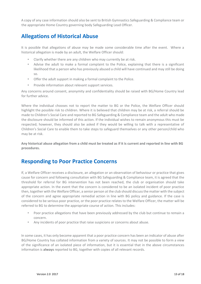A copy of any case information should also be sent to British Gymnastics Safeguarding & Compliance team or the appropriate Home Country governing body Safeguarding Lead Officer.

# <span id="page-12-0"></span>**Allegations of Historical Abuse**

It is possible that allegations of abuse may be made some considerable time after the event. Where a historical allegation is made by an adult, the Welfare Officer should:

- Clarify whether there are any children who may currently be at risk.
- Advise the adult to make a formal complaint to the Police, explaining that there is a significant likelihood that a person who has previously abused a child will have continued and may still be doing so.
- Offer the adult support in making a formal complaint to the Police.
- Provide information about relevant support services.

Any concerns around consent, anonymity and confidentiality should be raised with BG/Home Country lead for further advice.

Where the individual chooses not to report the matter to BG or the Police, the Welfare Officer should highlight the possible risk to children. Where it is believed that children may be at risk, a referral should be made to Children's Social Care and reported to BG Safeguarding & Compliance team and the adult who made the disclosure should be informed of this action. If the individual wishes to remain anonymous this must be respected; however, they should also be asked if they would be willing to talk with a representative of Children's Social Care to enable them to take steps to safeguard themselves or any other person/child who may be at risk.

**Any historical abuse allegation from a child must be treated as if it is current and reported in line with BG procedures.** 

# <span id="page-12-1"></span>**Responding to Poor Practice Concerns**

If, a Welfare Officer receives a disclosure, an allegation or an observation of behaviour or practice that gives cause for concern and following consultation with BG Safeguarding & Compliance team, it is agreed that the threshold for referral for BG intervention has not been reached, the club or organisation should take appropriate action. In the event that the concern is considered to be an isolated incident of poor practice then, together with the Welfare Officer, a senior person at the club should discuss the matter with the subject of the concern and agree appropriate remedial action in line with BG policy and guidance. If the case is considered to be serious poor practice, or the poor practice relates to the Welfare Officer, the matter will be referred to BG to determine the appropriate course of action. This includes:

- Poor practice allegations that have been previously addressed by the club but continue to remain a concern.
- Any incidents of poor practice that raise suspicions or concerns about abuse.

In some cases, it has only become apparent that a poor practice concern has been an indicator of abuse after BG/Home Country has collated information from a variety of sources. It may not be possible to form a view of the significance of an isolated piece of information, but it is essential that in the above circumstances information is **always** reported to BG, together with copies of all relevant records.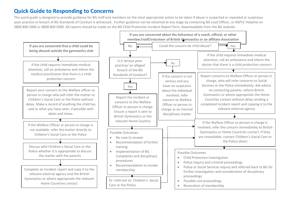# **Quick Guide to Responding to Concerns**

This quick guide is designed to provide guidance for BG staff and members on the most appropriate action to be taken if abuse is suspected or repeated or suspicious poor practice or breach of BG Standards of Conduct is witnessed. Further guidance can be obtained at any stage by contacting BG Lead Officer, or NSPCC Helpline on 0800 800 5000 or 0808 800 5000. All reports should be made on the BG Child Protection Incident Report form, downloadable from the BG website.

<span id="page-13-0"></span>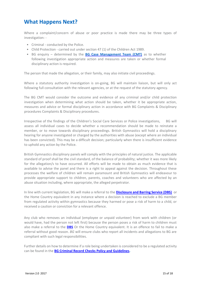# <span id="page-14-0"></span>**What Happens Next?**

Where a complaint/concern of abuse or poor practice is made there may be three types of investigation: -

- Criminal conducted by the Police.
- Child Protection carried out under section 47 (1) of the Children Act 1989.
- BG enquiry determined by t[he](http://www.british-gymnastics.org/documents/doc_download/3275-complaints-and-disciplinary-procedures) **[BG Case Management Team \(CMT\)](http://www.british-gymnastics.org/coaching/coach-membership/document-downloads/doc_download/5718-safeguarding-glossary-of-terms)** as to whether following investigation appropriate action and measures are taken or whether formal disciplinary action is required[.](http://www.british-gymnastics.org/documents/doc_download/3275-complaints-and-disciplinary-procedures)

The person that made the allegation, or their family, may also initiate civil proceedings.

Where a statutory authority investigation is on-going, BG will maintain liaison, but will only act following full consultation with the relevant agencies, or at the request of the statutory agency.

The BG CMT would consider the outcome and evidence of any criminal and/or child protection investigation when determining what action should be taken, whether it be appropriate action, measures and advice or formal disciplinary action in accordance with BG Complaints & Disciplinary procedures Complaints & Disciplinary procedures.

Irrespective of the findings of the Children's Social Care Services or Police investigations, [B](http://www.british-gymnastics.org/documents/doc_download/3275-complaints-and-disciplinary-procedures)G will assess all individual cases to decide whether a recommendation should be made to reinstate a member, or to move towards disciplinary proceedings. British Gymnastics will hold a disciplinary hearing for anyone investigated or charged by the authorities with abuse (except where an individual has been convicted). This may be a difficult decision; particularly when there is insufficient evidence to uphold any action by the Police.

British Gymnastics disciplinary panels will comply with the principles of natural justice. The applicable standard of proof shall be the civil standard, of the balance of probability; whether it was more likely for the allegation/s to have occurred. All efforts will be made to obtain as much evidence that is available to advise the panel and there is a right to appeal against the decision. Throughout these processes the welfare of children will remain paramount and British Gymnastics will endeavour to provide appropriate support to children, parents, coaches and volunteers who are affected by an abuse situation including, where appropriate, the alleged perpetrator.

In line with current legislation, BG will make a referral to the **[Disclosure and Barring Service \(DBS\)](https://www.gov.uk/government/organisations/disclosure-and-barring-service)** or the Home Country equivalent in any instance where a decision is reached to exclude a BG member from regulated activity within gymnastics because they harmed or pose a risk of harm to a child, or received a caution or conviction for a relevant offence.

Any club who removes an individual (employee or unpaid volunteer) from work with children (or would have, had the person not left first) because the person poses a risk of harm to children must also make a referral to the **[DBS](https://www.gov.uk/government/organisations/disclosure-and-barring-service)** Or the Home Country equivalent. It is an offence to fail to make a referral without good reason. *BG* will ensure clubs who report all incidents and allegations to BG are compliant with such legal responsibilities.

Further details on how to determine if a role being undertaken is considered to be a regulated activity can be found in t[he](http://www.british-gymnastics.org/coaching/coach-membership/document-downloads/doc_download/5367-bg-dbs-policy-and-guidelines) **[BG Criminal Record Checks Policy and Guidelines](https://www.british-gymnastics.org/documents/departments/membership/safeguarding-compliance/criminal-records-checks/5367-bg-criminal-records-check-policy-and-guidelines/file)[.](http://www.british-gymnastics.org/coaching/coach-membership/document-downloads/doc_download/5367-bg-dbs-policy-and-guidelines)**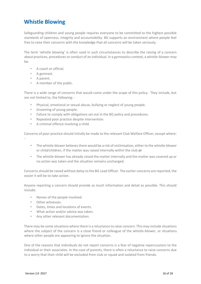# <span id="page-15-0"></span>**Whistle Blowing**

Safeguarding children and young people requires everyone to be committed to the highest possible standards of openness, integrity and accountability. BG supports an environment where people feel free to raise their concerns with the knowledge that all concerns will be taken seriously.

The term 'whistle blowing' is often used in such circumstances to describe the raising of a concern about practices, procedures or conduct of an individual. In a gymnastics context, a whistle-blower may be:

- A coach or official.
- A gymnast.
- A parent.
- A member of the public.

There is a wide range of concerns that would come under the scope of this policy. They include, but are not limited to, the following: -

- Physical, emotional or sexual abuse, bullying or neglect of young people.
- Grooming of young people.
- Failure to comply with obligations set out in the BG policy and procedures.
- Repeated poor practice despite intervention.
- A criminal offence involving a child.

Concerns of poor practice should initially be made to the relevant Club Welfare Officer, except where: -

- The whistle-blower believes there would be a risk of victimisation, either to the whistle-blower or child/children, if the matter was raised internally within the club **or**
- The whistle-blower has already raised the matter internally and the matter was covered up or no action was taken and the situation remains unchanged.

Concerns should be raised without delay to the BG Lead Officer. The earlier concerns are reported, the easier it will be to take action.

Anyone reporting a concern should provide as much information and detail as possible. This should include:

- Names of the people involved.
- Other witnesses.
- Dates, times and locations of events.
- What action and/or advice was taken.
- Any other relevant documentation.

There may be some situations where there is a reluctance to raise concern. This may include situations where the subject of the concern is a close friend or colleague of the whistle-blower, or situations where other people are appearing to ignore the situation.

One of the reasons that individuals do not report concerns is a fear of negative repercussions to the individual or their associates. In the case of parents, there is often a reluctance to raise concerns due to a worry that their child will be excluded from club or squad and isolated from friends.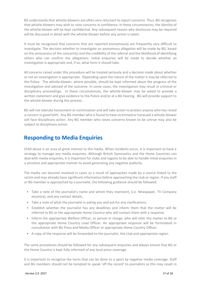BG understands that whistle-blowers are often very reluctant to report concerns. Thus, BG recognises that whistle-blowers may wish to raise concerns in confidence. In these circumstances, the identity of the whistle-blower will be kept confidential. Any subsequent reason why disclosure may be required will be discussed in detail with the whistle-blower before any action is taken.

It must be recognised that concerns that are reported anonymously are frequently very difficult to investigate. The decision whether to investigate an anonymous allegation will be made by BG, based on the seriousness of the concern(s) and the credibility of the referral and the likelihood of identifying others who can confirm the allegations. Initial enquiries will be made to decide whether an investigation is appropriate and, if so, what form it should take.

All concerns raised under this procedure will be treated seriously and a decision made about whether or not an investigation is appropriate. Depending upon the nature of the matter it may be referred to the Police. The whistle-blower, where possible, should be kept informed about the progress of the investigation and advised of the outcome. In some cases, the investigation may result in criminal or disciplinary proceedings. In these circumstances, the whistle-blower may be asked to provide a written statement and give evidence to the Police and/or at a BG hearing. BG will provide support to the whistle-blower during this process.

BG will not tolerate harassment or victimisation and will take action to protect anyone who has raised a concern in good faith. Any BG member who is found to have victimised or harassed a whistle-blower will face disciplinary action. Any BG member who raises concerns known to be untrue may also be subject to disciplinary action.

## <span id="page-16-0"></span>**Responding to Media Enquiries**

Child abuse is an area of great interest to the media. When incidents occur, it is important to have a strategy to manage any media enquiries. Although British Gymnastics and the Home Countries can deal with media enquiries, it is important for clubs and regions to be able to handle initial enquiries in a sensitive and appropriate manner to avoid generating any negative publicity.

The media can become involved in cases as a result of approaches made by a source linked to the victim and may already have significant information before approaching the club or region. If any staff or BG member is approached by a journalist, the following guidance should be followed:

- Take a note of the journalist's name and whom they represent, (i.e. Newspaper, TV Company etcetera), and any contact details.
- Take a note of what the journalist is asking you and ask for any clarifications.
- Establish whether the journalist has any deadlines and inform them that the matter will be referred to BG or the appropriate Home Country who will contact them with a response.
- Inform the appropriate Welfare Officer, or person in charge, who will refer the matter to BG or the appropriate Home Country Lead Officer. An appropriate response will be formulated in consultation with BG Press and Media Officer or appropriate Home Country Officer.
- A copy of the response will be forwarded to the journalist, the club and appropriate region.

The same procedures should be followed for any subsequent enquiries and always ensure that BG or the Home Country is kept fully informed of any local press coverage.

It is important to recognise the harm that can be done to a sport by negative media coverage. Staff and BG members should not be tempted to speak 'off the record' to journalists as this may result in